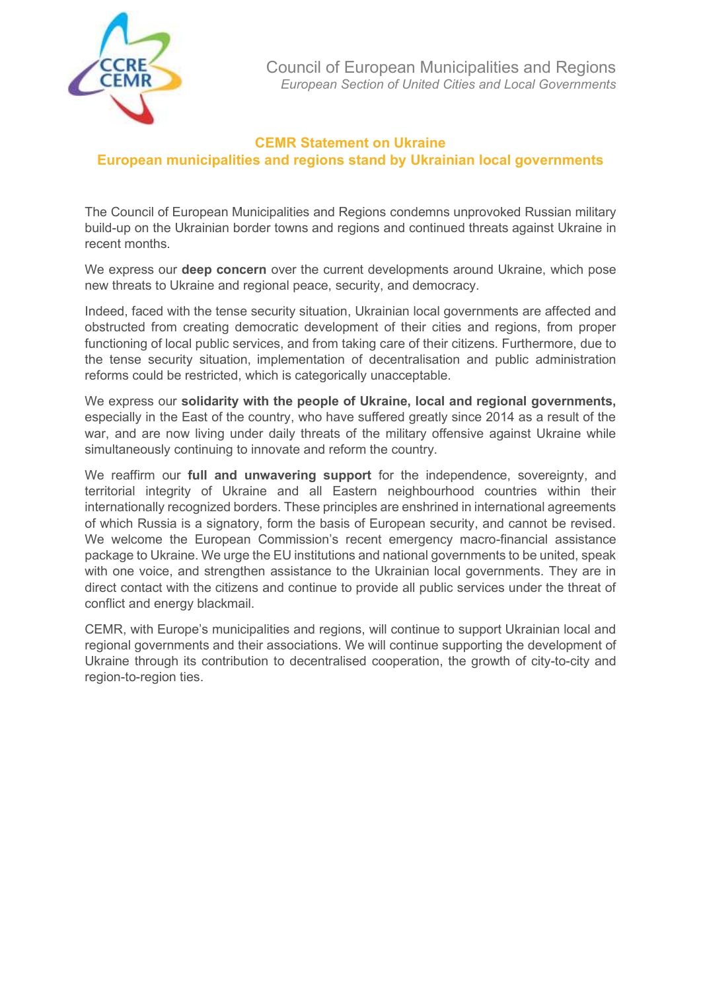

## **CEMR Statement on Ukraine**

**European municipalities and regions stand by Ukrainian local governments**

The Council of European Municipalities and Regions condemns unprovoked Russian military build-up on the Ukrainian border towns and regions and continued threats against Ukraine in recent months.

We express our **deep concern** over the current developments around Ukraine, which pose new threats to Ukraine and regional peace, security, and democracy.

Indeed, faced with the tense security situation, Ukrainian local governments are affected and obstructed from creating democratic development of their cities and regions, from proper functioning of local public services, and from taking care of their citizens. Furthermore, due to the tense security situation, implementation of decentralisation and public administration reforms could be restricted, which is categorically unacceptable.

We express our **solidarity with the people of Ukraine, local and regional governments,** especially in the East of the country, who have suffered greatly since 2014 as a result of the war, and are now living under daily threats of the military offensive against Ukraine while simultaneously continuing to innovate and reform the country.

We reaffirm our **full and unwavering support** for the independence, sovereignty, and territorial integrity of Ukraine and all Eastern neighbourhood countries within their internationally recognized borders. These principles are enshrined in international agreements of which Russia is a signatory, form the basis of European security, and cannot be revised. We welcome the European Commission's recent emergency macro-financial assistance package to Ukraine. We urge the EU institutions and national governments to be united, speak with one voice, and strengthen assistance to the Ukrainian local governments. They are in direct contact with the citizens and continue to provide all public services under the threat of conflict and energy blackmail.

CEMR, with Europe's municipalities and regions, will continue to support Ukrainian local and regional governments and their associations. We will continue supporting the development of Ukraine through its contribution to decentralised cooperation, the growth of city-to-city and region-to-region ties.